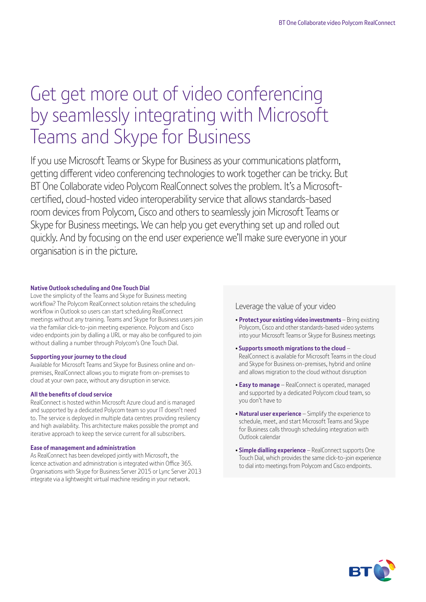# Get get more out of video conferencing by seamlessly integrating with Microsoft Teams and Skype for Business

If you use Microsoft Teams or Skype for Business as your communications platform, getting different video conferencing technologies to work together can be tricky. But BT One Collaborate video Polycom RealConnect solves the problem. It's a Microsoftcertified, cloud-hosted video interoperability service that allows standards-based room devices from Polycom, Cisco and others to seamlessly join Microsoft Teams or Skype for Business meetings. We can help you get everything set up and rolled out quickly. And by focusing on the end user experience we'll make sure everyone in your organisation is in the picture.

#### **Native Outlook scheduling and One Touch Dial**

Love the simplicity of the Teams and Skype for Business meeting workflow? The Polycom RealConnect solution retains the scheduling workflow in Outlook so users can start scheduling RealConnect meetings without any training. Teams and Skype for Business users join via the familiar click-to-join meeting experience. Polycom and Cisco video endpoints join by dialling a URL or may also be configured to join without dialling a number through Polycom's One Touch Dial.

#### **Supporting your journey to the cloud**

Available for Microsoft Teams and Skype for Business online and onpremises, RealConnect allows you to migrate from on-premises to cloud at your own pace, without any disruption in service.

#### **All the benefits of cloud service**

RealConnect is hosted within Microsoft Azure cloud and is managed and supported by a dedicated Polycom team so your IT doesn't need to. The service is deployed in multiple data centres providing resiliency and high availability. This architecture makes possible the prompt and iterative approach to keep the service current for all subscribers.

#### **Ease of management and administration**

As RealConnect has been developed jointly with Microsoft, the licence activation and administration is integrated within Office 365. Organisations with Skype for Business Server 2015 or Lync Server 2013 integrate via a lightweight virtual machine residing in your network.

### Leverage the value of your video

- **Protect your existing video investments**  Bring existing Polycom, Cisco and other standards-based video systems into your Microsoft Teams or Skype for Business meetings
- **Supports smooth migrations to the cloud** RealConnect is available for Microsoft Teams in the cloud and Skype for Business on-premises, hybrid and online and allows migration to the cloud without disruption
- **Easy to manage** RealConnect is operated, managed and supported by a dedicated Polycom cloud team, so you don't have to
- **Natural user experience** Simplify the experience to schedule, meet, and start Microsoft Teams and Skype for Business calls through scheduling integration with Outlook calendar
- **Simple dialling experience** RealConnect supports One Touch Dial, which provides the same click-to-join experience to dial into meetings from Polycom and Cisco endpoints.